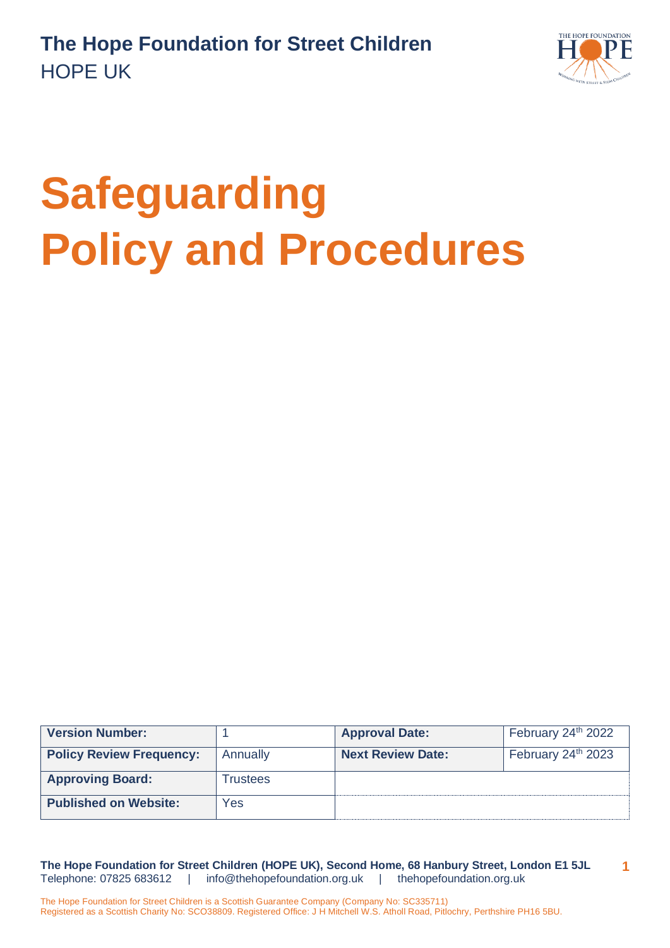

# **Safeguarding Policy and Procedures**

| <b>Version Number:</b>          |          | <b>Approval Date:</b>    | February 24 <sup>th</sup> 2022 |
|---------------------------------|----------|--------------------------|--------------------------------|
| <b>Policy Review Frequency:</b> | Annually | <b>Next Review Date:</b> | February 24 <sup>th</sup> 2023 |
| <b>Approving Board:</b>         | Trustees |                          |                                |
| <b>Published on Website:</b>    | Yes      |                          |                                |

**The Hope Foundation for Street Children (HOPE UK), Second Home, 68 Hanbury Street, London E1 5JL** Telephone: 07825 683612 | [info@thehopefoundation.org.uk](mailto:info@thehopefoundation.org.uk) | thehopefoundation.org.uk **1**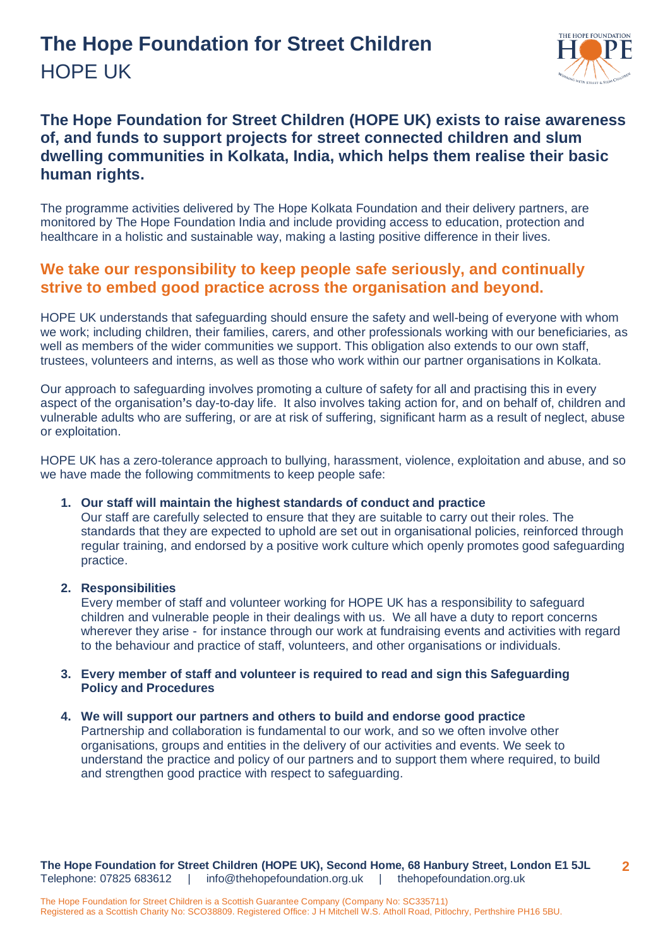## **The Hope Foundation for Street Children** HOPE UK



## **The Hope Foundation for Street Children (HOPE UK) exists to raise awareness of, and funds to support projects for street connected children and slum dwelling communities in Kolkata, India, which helps them realise their basic human rights.**

The programme activities delivered by The Hope Kolkata Foundation and their delivery partners, are monitored by The Hope Foundation India and include providing access to education, protection and healthcare in a holistic and sustainable way, making a lasting positive difference in their lives.

### **We take our responsibility to keep people safe seriously, and continually strive to embed good practice across the organisation and beyond.**

HOPE UK understands that safeguarding should ensure the safety and well-being of everyone with whom we work; including children, their families, carers, and other professionals working with our beneficiaries, as well as members of the wider communities we support. This obligation also extends to our own staff, trustees, volunteers and interns, as well as those who work within our partner organisations in Kolkata.

Our approach to safeguarding involves promoting a culture of safety for all and practising this in every aspect of the organisation**'**s day-to-day life. It also involves taking action for, and on behalf of, children and vulnerable adults who are suffering, or are at risk of suffering, significant harm as a result of neglect, abuse or exploitation.

HOPE UK has a zero-tolerance approach to bullying, harassment, violence, exploitation and abuse, and so we have made the following commitments to keep people safe:

#### **1. Our staff will maintain the highest standards of conduct and practice**

Our staff are carefully selected to ensure that they are suitable to carry out their roles. The standards that they are expected to uphold are set out in organisational policies, reinforced through regular training, and endorsed by a positive work culture which openly promotes good safeguarding practice.

#### **2. Responsibilities**

Every member of staff and volunteer working for HOPE UK has a responsibility to safeguard children and vulnerable people in their dealings with us. We all have a duty to report concerns wherever they arise - for instance through our work at fundraising events and activities with regard to the behaviour and practice of staff, volunteers, and other organisations or individuals.

#### **3. Every member of staff and volunteer is required to read and sign this Safeguarding Policy and Procedures**

#### **4. We will support our partners and others to build and endorse good practice**

Partnership and collaboration is fundamental to our work, and so we often involve other organisations, groups and entities in the delivery of our activities and events. We seek to understand the practice and policy of our partners and to support them where required, to build and strengthen good practice with respect to safeguarding.

**The Hope Foundation for Street Children (HOPE UK), Second Home, 68 Hanbury Street, London E1 5JL** Telephone: 07825 683612 | [info@thehopefoundation.org.uk](mailto:info@thehopefoundation.org.uk) | thehopefoundation.org.uk **2**